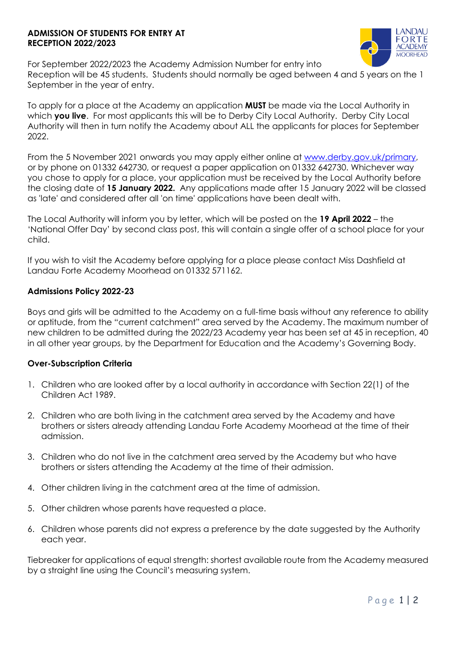### **ADMISSION OF STUDENTS FOR ENTRY AT RECEPTION 2022/2023**



For September 2022/2023 the Academy Admission Number for entry into Reception will be 45 students. Students should normally be aged between 4 and 5 years on the 1 September in the year of entry.

To apply for a place at the Academy an application **MUST** be made via the Local Authority in which **you live**. For most applicants this will be to Derby City Local Authority. Derby City Local Authority will then in turn notify the Academy about ALL the applicants for places for September 2022.

From the 5 November 2021 onwards you may apply either online at [www.derby.gov.uk/primary,](http://www.derby.gov.uk/primary) or by phone on 01332 642730, or request a paper application on 01332 642730. Whichever way you chose to apply for a place, your application must be received by the Local Authority before the closing date of **15 January 2022.** Any applications made after 15 January 2022 will be classed as 'late' and considered after all 'on time' applications have been dealt with.

The Local Authority will inform you by letter, which will be posted on the **19 April 2022** – the 'National Offer Day' by second class post, this will contain a single offer of a school place for your child.

If you wish to visit the Academy before applying for a place please contact Miss Dashfield at Landau Forte Academy Moorhead on 01332 571162.

### **Admissions Policy 2022-23**

Boys and girls will be admitted to the Academy on a full-time basis without any reference to ability or aptitude, from the "current catchment" area served by the Academy. The maximum number of new children to be admitted during the 2022/23 Academy year has been set at 45 in reception, 40 in all other year groups, by the Department for Education and the Academy's Governing Body.

#### **Over-Subscription Criteria**

- 1. Children who are looked after by a local authority in accordance with Section 22(1) of the Children Act 1989.
- 2. Children who are both living in the catchment area served by the Academy and have brothers or sisters already attending Landau Forte Academy Moorhead at the time of their admission.
- 3. Children who do not live in the catchment area served by the Academy but who have brothers or sisters attending the Academy at the time of their admission.
- 4. Other children living in the catchment area at the time of admission.
- 5. Other children whose parents have requested a place.
- 6. Children whose parents did not express a preference by the date suggested by the Authority each year.

Tiebreaker for applications of equal strength: shortest available route from the Academy measured by a straight line using the Council's measuring system.